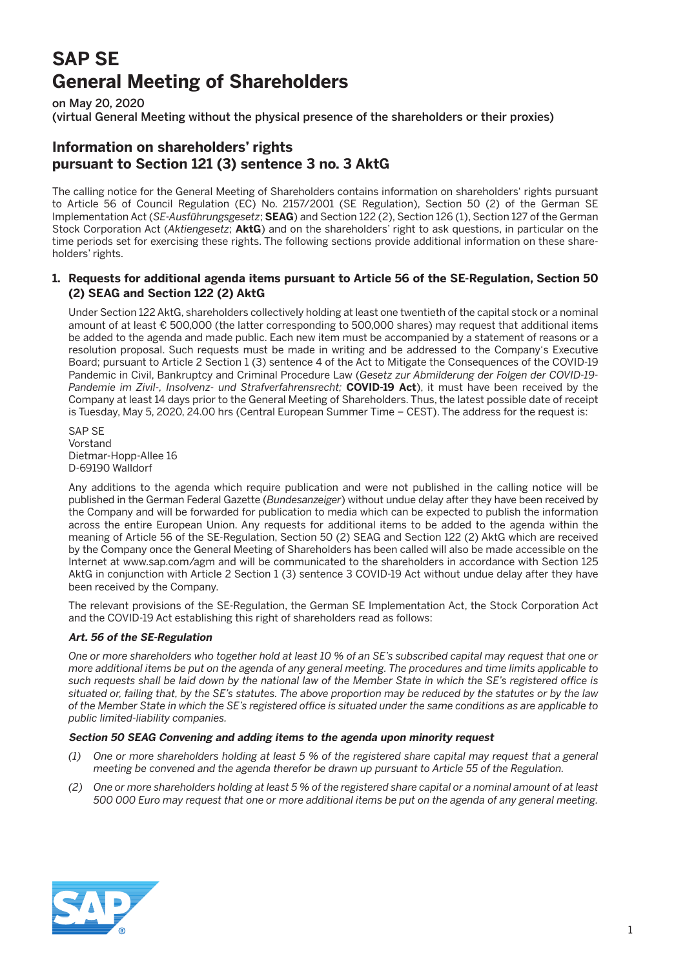# **SAP SE General Meeting of Shareholders**

on May 20, 2020

(virtual General Meeting without the physical presence of the shareholders or their proxies)

# **Information on shareholders' rights pursuant to Section 121 (3) sentence 3 no. 3 AktG**

The calling notice for the General Meeting of Shareholders contains information on shareholders' rights pursuant to Article 56 of Council Regulation (EC) No. 2157/2001 (SE Regulation), Section 50 (2) of the German SE Implementation Act (*SE-Ausführungsgesetz*; **SEAG**) and Section 122 (2), Section 126 (1), Section 127 of the German Stock Corporation Act (*Aktiengesetz*; **AktG**) and on the shareholders' right to ask questions, in particular on the time periods set for exercising these rights. The following sections provide additional information on these shareholders' rights.

# **1. Requests for additional agenda items pursuant to Article 56 of the SE-Regulation, Section 50 (2) SEAG and Section 122 (2) AktG**

 Under Section 122 AktG, shareholders collectively holding at least one twentieth of the capital stock or a nominal amount of at least € 500,000 (the latter corresponding to 500,000 shares) may request that additional items be added to the agenda and made public. Each new item must be accompanied by a statement of reasons or a resolution proposal. Such requests must be made in writing and be addressed to the Company's Executive Board; pursuant to Article 2 Section 1 (3) sentence 4 of the Act to Mitigate the Consequences of the COVID-19 Pandemic in Civil, Bankruptcy and Criminal Procedure Law (*Gesetz zur Abmilderung der Folgen der COVID-19- Pandemie im Zivil-, Insolvenz- und Strafverfahrensrecht;* **COVID-19 Act**), it must have been received by the Company at least 14 days prior to the General Meeting of Shareholders. Thus, the latest possible date of receipt is Tuesday, May 5, 2020, 24.00 hrs (Central European Summer Time – CEST). The address for the request is:

SAP SF Vorstand Dietmar-Hopp-Allee 16 D-69190 Walldorf

 Any additions to the agenda which require publication and were not published in the calling notice will be published in the German Federal Gazette (*Bundesanzeiger*) without undue delay after they have been received by the Company and will be forwarded for publication to media which can be expected to publish the information across the entire European Union. Any requests for additional items to be added to the agenda within the meaning of Article 56 of the SE-Regulation, Section 50 (2) SEAG and Section 122 (2) AktG which are received by the Company once the General Meeting of Shareholders has been called will also be made accessible on the Internet at www.sap.com/agm and will be communicated to the shareholders in accordance with Section 125 AktG in conjunction with Article 2 Section 1 (3) sentence 3 COVID-19 Act without undue delay after they have been received by the Company.

 The relevant provisions of the SE-Regulation, the German SE Implementation Act, the Stock Corporation Act and the COVID-19 Act establishing this right of shareholders read as follows:

## **Art. 56 of the SE-Regulation**

 *One or more shareholders who together hold at least 10 % of an SE's subscribed capital may request that one or more additional items be put on the agenda of any general meeting. The procedures and time limits applicable to such requests shall be laid down by the national law of the Member State in which the SE's registered office is situated or, failing that, by the SE's statutes. The above proportion may be reduced by the statutes or by the law of the Member State in which the SE's registered office is situated under the same conditions as are applicable to public limited-liability companies.*

#### **Section 50 SEAG Convening and adding items to the agenda upon minority request**

- *(1) One or more shareholders holding at least 5 % of the registered share capital may request that a general meeting be convened and the agenda therefor be drawn up pursuant to Article 55 of the Regulation.*
- *(2) One or more shareholders holding at least 5 % of the registered share capital or a nominal amount of at least 500 000 Euro may request that one or more additional items be put on the agenda of any general meeting.*

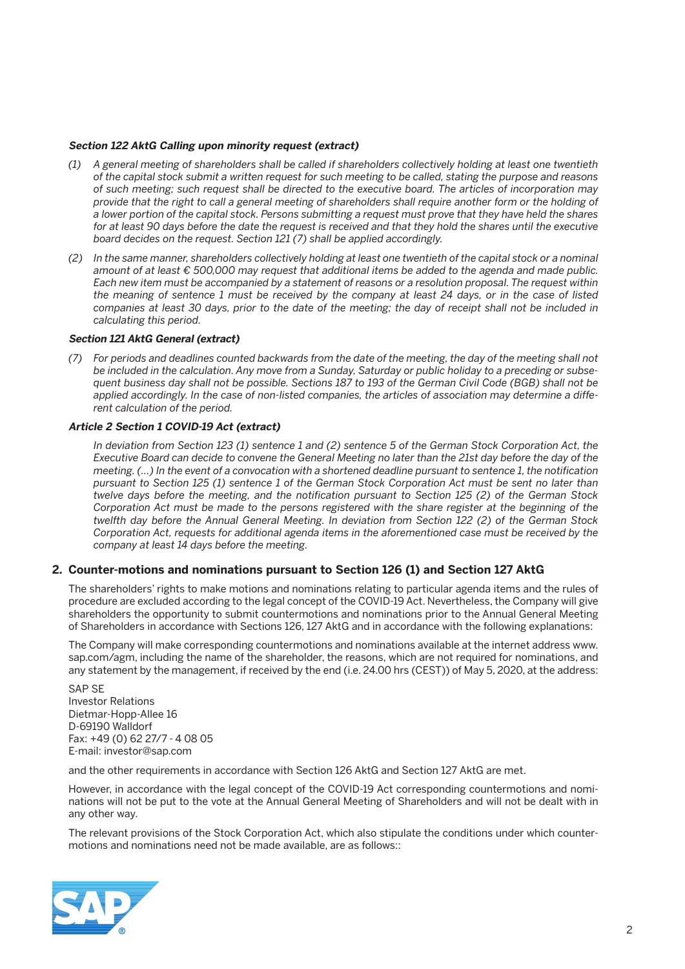#### **Section 122 AktG Calling upon minority request (extract)**

- *(1) A general meeting of shareholders shall be called if shareholders collectively holding at least one twentieth of the capital stock submit a written request for such meeting to be called, stating the purpose and reasons of such meeting; such request shall be directed to the executive board. The articles of incorporation may provide that the right to call a general meeting of shareholders shall require another form or the holding of a lower portion of the capital stock. Persons submitting a request must prove that they have held the shares*  for at least 90 days before the date the request is received and that they hold the shares until the executive *board decides on the request. Section 121 (7) shall be applied accordingly.*
- *(2) In the same manner, shareholders collectively holding at least one twentieth of the capital stock or a nominal amount of at least € 500,000 may request that additional items be added to the agenda and made public. Each new item must be accompanied by a statement of reasons or a resolution proposal. The request within the meaning of sentence 1 must be received by the company at least 24 days, or in the case of listed companies at least 30 days, prior to the date of the meeting; the day of receipt shall not be included in calculating this period.*

#### **Section 121 AktG General (extract)**

 *(7) For periods and deadlines counted backwards from the date of the meeting, the day of the meeting shall not be included in the calculation. Any move from a Sunday, Saturday or public holiday to a preceding or subsequent business day shall not be possible. Sections 187 to 193 of the German Civil Code (BGB) shall not be applied accordingly. In the case of non-listed companies, the articles of association may determine a different calculation of the period.*

#### **Article 2 Section 1 COVID-19 Act (extract)**

 *In deviation from Section 123 (1) sentence 1 and (2) sentence 5 of the German Stock Corporation Act, the Executive Board can decide to convene the General Meeting no later than the 21st day before the day of the meeting. (...) In the event of a convocation with a shortened deadline pursuant to sentence 1, the notification pursuant to Section 125 (1) sentence 1 of the German Stock Corporation Act must be sent no later than twelve days before the meeting, and the notification pursuant to Section 125 (2) of the German Stock Corporation Act must be made to the persons registered with the share register at the beginning of the twelfth day before the Annual General Meeting. In deviation from Section 122 (2) of the German Stock Corporation Act, requests for additional agenda items in the aforementioned case must be received by the company at least 14 days before the meeting.*

#### **2. Counter-motions and nominations pursuant to Section 126 (1) and Section 127 AktG**

 The shareholders' rights to make motions and nominations relating to particular agenda items and the rules of procedure are excluded according to the legal concept of the COVID-19 Act. Nevertheless, the Company will give shareholders the opportunity to submit countermotions and nominations prior to the Annual General Meeting of Shareholders in accordance with Sections 126, 127 AktG and in accordance with the following explanations:

 The Company will make corresponding countermotions and nominations available at the internet address www. sap.com/agm, including the name of the shareholder, the reasons, which are not required for nominations, and any statement by the management, if received by the end (i.e. 24.00 hrs (CEST)) of May 5, 2020, at the address:

 SAP SE Investor Relations Dietmar-Hopp-Allee 16 D-69190 Walldorf Fax: +49 (0) 62 27/7 - 4 08 05 E-mail: investor@sap.com

and the other requirements in accordance with Section 126 AktG and Section 127 AktG are met.

 However, in accordance with the legal concept of the COVID-19 Act corresponding countermotions and nominations will not be put to the vote at the Annual General Meeting of Shareholders and will not be dealt with in any other way.

 The relevant provisions of the Stock Corporation Act, which also stipulate the conditions under which countermotions and nominations need not be made available, are as follows::

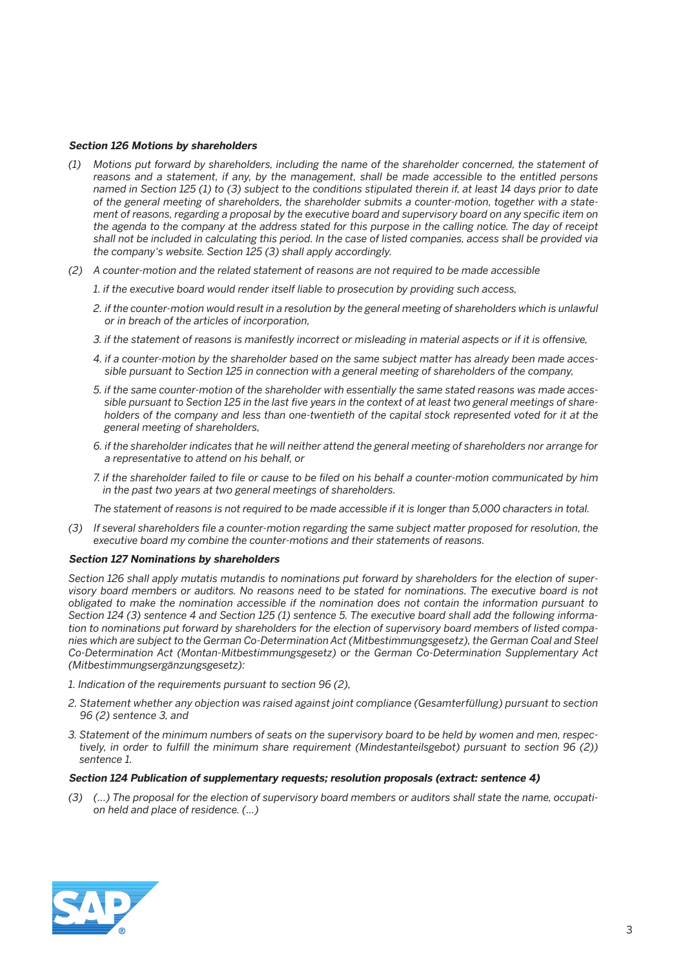#### **Section 126 Motions by shareholders**

- *(1) Motions put forward by shareholders, including the name of the shareholder concerned, the statement of reasons and a statement, if any, by the management, shall be made accessible to the entitled persons named in Section 125 (1) to (3) subject to the conditions stipulated therein if, at least 14 days prior to date of the general meeting of shareholders, the shareholder submits a counter-motion, together with a statement of reasons, regarding a proposal by the executive board and supervisory board on any specific item on the agenda to the company at the address stated for this purpose in the calling notice. The day of receipt shall not be included in calculating this period. In the case of listed companies, access shall be provided via the company's website. Section 125 (3) shall apply accordingly.*
- *(2) A counter-motion and the related statement of reasons are not required to be made accessible* 
	- *1. if the executive board would render itself liable to prosecution by providing such access,*
	- 2. if the counter-motion would result in a resolution by the general meeting of shareholders which is unlawful *or in breach of the articles of incorporation,*
	- *3. if the statement of reasons is manifestly incorrect or misleading in material aspects or if it is offensive,*
	- *4. if a counter-motion by the shareholder based on the same subject matter has already been made accessible pursuant to Section 125 in connection with a general meeting of shareholders of the company,*
	- *5. if the same counter-motion of the shareholder with essentially the same stated reasons was made accessible pursuant to Section 125 in the last five years in the context of at least two general meetings of shareholders of the company and less than one-twentieth of the capital stock represented voted for it at the general meeting of shareholders,*
	- *6. if the shareholder indicates that he will neither attend the general meeting of shareholders nor arrange for a representative to attend on his behalf, or*
	- *7. if the shareholder failed to file or cause to be filed on his behalf a counter-motion communicated by him in the past two years at two general meetings of shareholders.*

 *The statement of reasons is not required to be made accessible if it is longer than 5,000 characters in total.*

 *(3) If several shareholders file a counter-motion regarding the same subject matter proposed for resolution, the executive board my combine the counter-motions and their statements of reasons.*

#### **Section 127 Nominations by shareholders**

 *Section 126 shall apply mutatis mutandis to nominations put forward by shareholders for the election of supervisory board members or auditors. No reasons need to be stated for nominations. The executive board is not obligated to make the nomination accessible if the nomination does not contain the information pursuant to Section 124 (3) sentence 4 and Section 125 (1) sentence 5. The executive board shall add the following information to nominations put forward by shareholders for the election of supervisory board members of listed companies which are subject to the German Co-Determination Act (Mitbestimmungsgesetz), the German Coal and Steel Co-Determination Act (Montan-Mitbestimmungsgesetz) or the German Co-Determination Supplementary Act (Mitbestimmungsergänzungsgesetz):*

- *1. Indication of the requirements pursuant to section 96 (2),*
- *2. Statement whether any objection was raised against joint compliance (Gesamterfüllung) pursuant to section 96 (2) sentence 3, and*
- *3. Statement of the minimum numbers of seats on the supervisory board to be held by women and men, respectively, in order to fulfill the minimum share requirement (Mindestanteilsgebot) pursuant to section 96 (2)) sentence 1.*

#### **Section 124 Publication of supplementary requests; resolution proposals (extract: sentence 4)**

 *(3) (...) The proposal for the election of supervisory board members or auditors shall state the name, occupation held and place of residence. (...)*